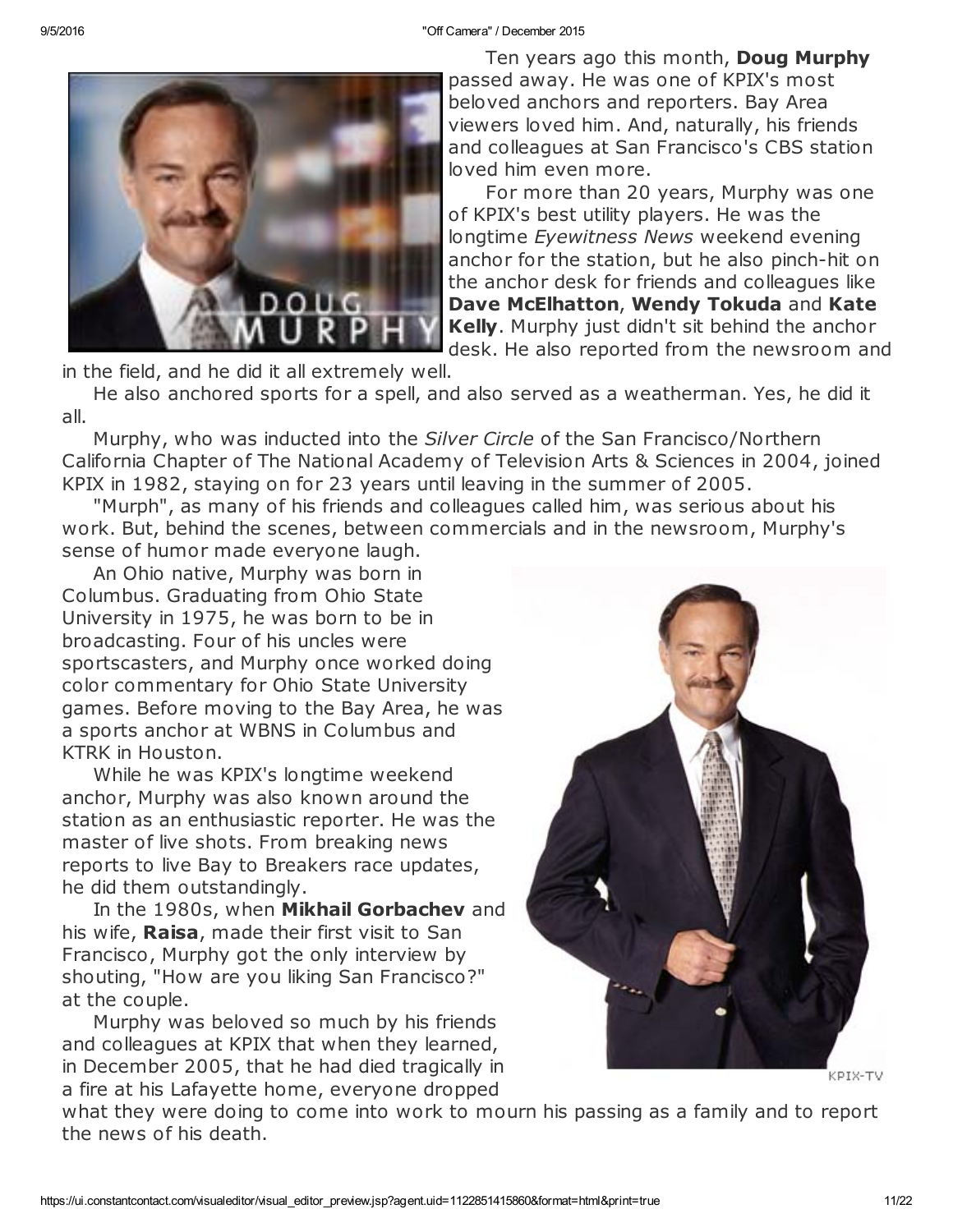9/5/2016 "Off Camera" / December 2015



Ten years ago this month, **Doug Murphy** passed away. He was one of KPIX's most beloved anchors and reporters. Bay Area viewers loved him. And, naturally, his friends and colleagues at San Francisco's CBS station loved him even more.

For more than 20 years, Murphy was one of KPIX's best utility players. He was the longtime Eyewitness News weekend evening anchor for the station, but he also pinch-hit on the anchor desk for friends and colleagues like Dave McElhatton, Wendy Tokuda and Kate Kelly. Murphy just didn't sit behind the anchor desk. He also reported from the newsroom and

in the field, and he did it all extremely well.

He also anchored sports for a spell, and also served as a weatherman. Yes, he did it all.

Murphy, who was inducted into the Silver Circle of the San Francisco/Northern California Chapter of The National Academy of Television Arts & Sciences in 2004, joined KPIX in 1982, staying on for 23 years until leaving in the summer of 2005.

"Murph", as many of his friends and colleagues called him, was serious about his work. But, behind the scenes, between commercials and in the newsroom, Murphy's sense of humor made everyone laugh.

An Ohio native, Murphy was born in Columbus. Graduating from Ohio State University in 1975, he was born to be in broadcasting. Four of his uncles were sportscasters, and Murphy once worked doing color commentary for Ohio State University games. Before moving to the Bay Area, he was a sports anchor at WBNS in Columbus and KTRK in Houston.

While he was KPIX's longtime weekend anchor, Murphy was also known around the station as an enthusiastic reporter. He was the master of live shots. From breaking news reports to live Bay to Breakers race updates, he did them outstandingly.

In the 1980s, when Mikhail Gorbachev and his wife, Raisa, made their first visit to San Francisco, Murphy got the only interview by shouting, "How are you liking San Francisco?" at the couple.

Murphy was beloved so much by his friends and colleagues at KPIX that when they learned, in December 2005, that he had died tragically in a fire at his Lafayette home, everyone dropped



KPIX-TV

what they were doing to come into work to mourn his passing as a family and to report the news of his death.